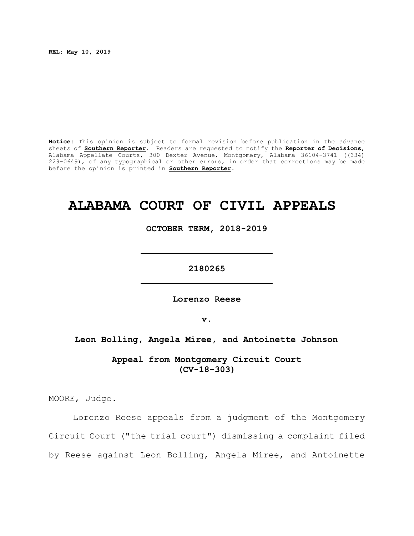**REL: May 10, 2019**

**Notice:** This opinion is subject to formal revision before publication in the advance sheets of **Southern Reporter**. Readers are requested to notify the **Reporter of Decisions**, Alabama Appellate Courts, 300 Dexter Avenue, Montgomery, Alabama 36104-3741 ((334) 229-0649), of any typographical or other errors, in order that corrections may be made before the opinion is printed in **Southern Reporter**.

# **ALABAMA COURT OF CIVIL APPEALS**

**OCTOBER TERM, 2018-2019**

**\_\_\_\_\_\_\_\_\_\_\_\_\_\_\_\_\_\_\_\_\_\_\_\_\_**

**2180265 \_\_\_\_\_\_\_\_\_\_\_\_\_\_\_\_\_\_\_\_\_\_\_\_\_**

**Lorenzo Reese**

**v.**

## **Leon Bolling, Angela Miree, and Antoinette Johnson**

**Appeal from Montgomery Circuit Court (CV-18-303)**

MOORE, Judge.

Lorenzo Reese appeals from a judgment of the Montgomery Circuit Court ("the trial court") dismissing a complaint filed by Reese against Leon Bolling, Angela Miree, and Antoinette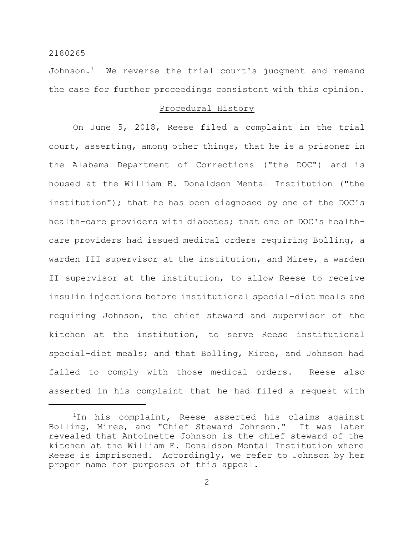Johnson.<sup>1</sup> We reverse the trial court's judgment and remand the case for further proceedings consistent with this opinion.

#### Procedural History

On June 5, 2018, Reese filed a complaint in the trial court, asserting, among other things, that he is a prisoner in the Alabama Department of Corrections ("the DOC") and is housed at the William E. Donaldson Mental Institution ("the institution"); that he has been diagnosed by one of the DOC's health-care providers with diabetes; that one of DOC's healthcare providers had issued medical orders requiring Bolling, a warden III supervisor at the institution, and Miree, a warden II supervisor at the institution, to allow Reese to receive insulin injections before institutional special-diet meals and requiring Johnson, the chief steward and supervisor of the kitchen at the institution, to serve Reese institutional special-diet meals; and that Bolling, Miree, and Johnson had failed to comply with those medical orders. Reese also asserted in his complaint that he had filed a request with

<sup>&</sup>lt;sup>1</sup>In his complaint, Reese asserted his claims against Bolling, Miree, and "Chief Steward Johnson." It was later revealed that Antoinette Johnson is the chief steward of the kitchen at the William E. Donaldson Mental Institution where Reese is imprisoned. Accordingly, we refer to Johnson by her proper name for purposes of this appeal.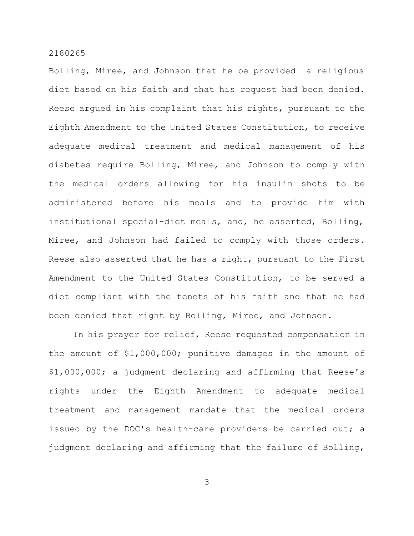Bolling, Miree, and Johnson that he be provided a religious diet based on his faith and that his request had been denied. Reese argued in his complaint that his rights, pursuant to the Eighth Amendment to the United States Constitution, to receive adequate medical treatment and medical management of his diabetes require Bolling, Miree, and Johnson to comply with the medical orders allowing for his insulin shots to be administered before his meals and to provide him with institutional special-diet meals, and, he asserted, Bolling, Miree, and Johnson had failed to comply with those orders. Reese also asserted that he has a right, pursuant to the First Amendment to the United States Constitution, to be served a diet compliant with the tenets of his faith and that he had been denied that right by Bolling, Miree, and Johnson.

In his prayer for relief, Reese requested compensation in the amount of \$1,000,000; punitive damages in the amount of \$1,000,000; a judgment declaring and affirming that Reese's rights under the Eighth Amendment to adequate medical treatment and management mandate that the medical orders issued by the DOC's health-care providers be carried out; a judgment declaring and affirming that the failure of Bolling,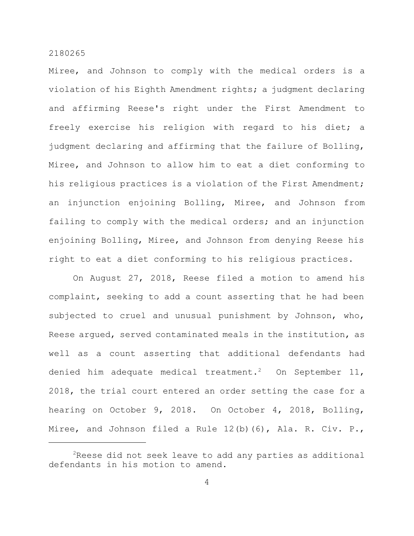Miree, and Johnson to comply with the medical orders is a violation of his Eighth Amendment rights; a judgment declaring and affirming Reese's right under the First Amendment to freely exercise his religion with regard to his diet; a judgment declaring and affirming that the failure of Bolling, Miree, and Johnson to allow him to eat a diet conforming to his religious practices is a violation of the First Amendment; an injunction enjoining Bolling, Miree, and Johnson from failing to comply with the medical orders; and an injunction enjoining Bolling, Miree, and Johnson from denying Reese his right to eat a diet conforming to his religious practices.

On August 27, 2018, Reese filed a motion to amend his complaint, seeking to add a count asserting that he had been subjected to cruel and unusual punishment by Johnson, who, Reese argued, served contaminated meals in the institution, as well as a count asserting that additional defendants had denied him adequate medical treatment.<sup>2</sup> On September 11, 2018, the trial court entered an order setting the case for a hearing on October 9, 2018. On October 4, 2018, Bolling, Miree, and Johnson filed a Rule 12(b)(6), Ala. R. Civ. P.,

 $2R$ eese did not seek leave to add any parties as additional defendants in his motion to amend.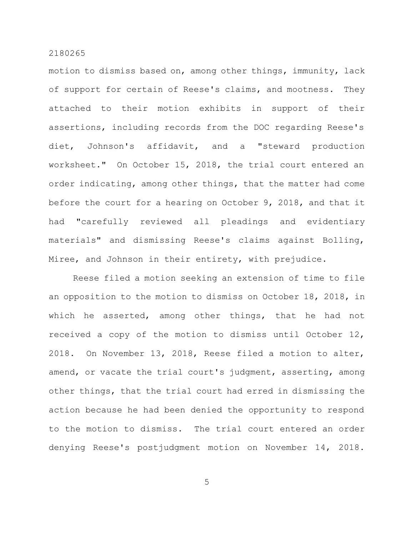motion to dismiss based on, among other things, immunity, lack of support for certain of Reese's claims, and mootness. They attached to their motion exhibits in support of their assertions, including records from the DOC regarding Reese's diet, Johnson's affidavit, and a "steward production worksheet." On October 15, 2018, the trial court entered an order indicating, among other things, that the matter had come before the court for a hearing on October 9, 2018, and that it had "carefully reviewed all pleadings and evidentiary materials" and dismissing Reese's claims against Bolling, Miree, and Johnson in their entirety, with prejudice.

Reese filed a motion seeking an extension of time to file an opposition to the motion to dismiss on October 18, 2018, in which he asserted, among other things, that he had not received a copy of the motion to dismiss until October 12, 2018. On November 13, 2018, Reese filed a motion to alter, amend, or vacate the trial court's judgment, asserting, among other things, that the trial court had erred in dismissing the action because he had been denied the opportunity to respond to the motion to dismiss. The trial court entered an order denying Reese's postjudgment motion on November 14, 2018.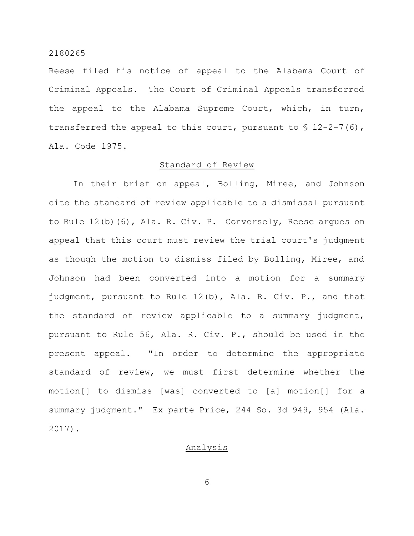Reese filed his notice of appeal to the Alabama Court of Criminal Appeals. The Court of Criminal Appeals transferred the appeal to the Alabama Supreme Court, which, in turn, transferred the appeal to this court, pursuant to  $\S$  12-2-7(6), Ala. Code 1975.

#### Standard of Review

In their brief on appeal, Bolling, Miree, and Johnson cite the standard of review applicable to a dismissal pursuant to Rule 12(b)(6), Ala. R. Civ. P. Conversely, Reese argues on appeal that this court must review the trial court's judgment as though the motion to dismiss filed by Bolling, Miree, and Johnson had been converted into a motion for a summary judgment, pursuant to Rule 12(b), Ala. R. Civ. P., and that the standard of review applicable to a summary judgment, pursuant to Rule 56, Ala. R. Civ. P., should be used in the present appeal. "In order to determine the appropriate standard of review, we must first determine whether the motion[] to dismiss [was] converted to [a] motion[] for a summary judgment." Ex parte Price, 244 So. 3d 949, 954 (Ala. 2017).

## Analysis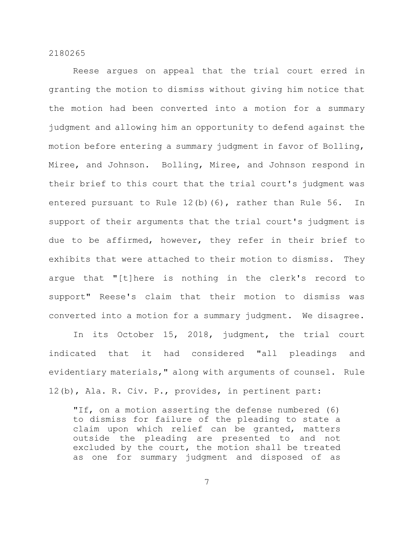Reese argues on appeal that the trial court erred in granting the motion to dismiss without giving him notice that the motion had been converted into a motion for a summary judgment and allowing him an opportunity to defend against the motion before entering a summary judgment in favor of Bolling, Miree, and Johnson. Bolling, Miree, and Johnson respond in their brief to this court that the trial court's judgment was entered pursuant to Rule 12(b)(6), rather than Rule 56. In support of their arguments that the trial court's judgment is due to be affirmed, however, they refer in their brief to exhibits that were attached to their motion to dismiss. They argue that "[t]here is nothing in the clerk's record to support" Reese's claim that their motion to dismiss was converted into a motion for a summary judgment. We disagree.

In its October 15, 2018, judgment, the trial court indicated that it had considered "all pleadings and evidentiary materials," along with arguments of counsel. Rule 12(b), Ala. R. Civ. P., provides, in pertinent part:

"If, on a motion asserting the defense numbered (6) to dismiss for failure of the pleading to state a claim upon which relief can be granted, matters outside the pleading are presented to and not excluded by the court, the motion shall be treated as one for summary judgment and disposed of as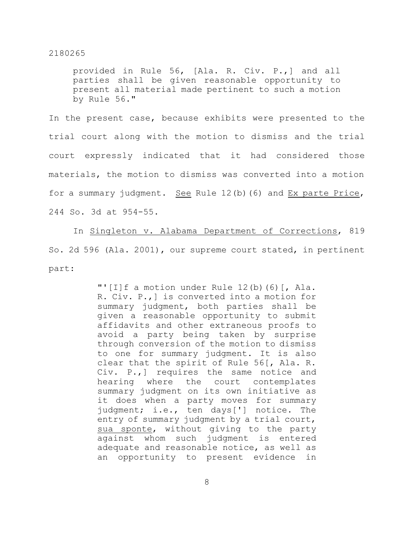provided in Rule 56, [Ala. R. Civ. P.,] and all parties shall be given reasonable opportunity to present all material made pertinent to such a motion by Rule 56."

In the present case, because exhibits were presented to the trial court along with the motion to dismiss and the trial court expressly indicated that it had considered those materials, the motion to dismiss was converted into a motion for a summary judgment. See Rule 12(b)(6) and Ex parte Price, 244 So. 3d at 954-55.

In Singleton v. Alabama Department of Corrections, 819 So. 2d 596 (Ala. 2001), our supreme court stated, in pertinent part:

> "'[I]f a motion under Rule 12(b)(6)[, Ala. R. Civ. P.,] is converted into a motion for summary judgment, both parties shall be given a reasonable opportunity to submit affidavits and other extraneous proofs to avoid a party being taken by surprise through conversion of the motion to dismiss to one for summary judgment. It is also clear that the spirit of Rule 56[, Ala. R. Civ. P.,] requires the same notice and hearing where the court contemplates summary judgment on its own initiative as it does when a party moves for summary judgment; i.e., ten days['] notice. The entry of summary judgment by a trial court, sua sponte, without giving to the party against whom such judgment is entered adequate and reasonable notice, as well as an opportunity to present evidence in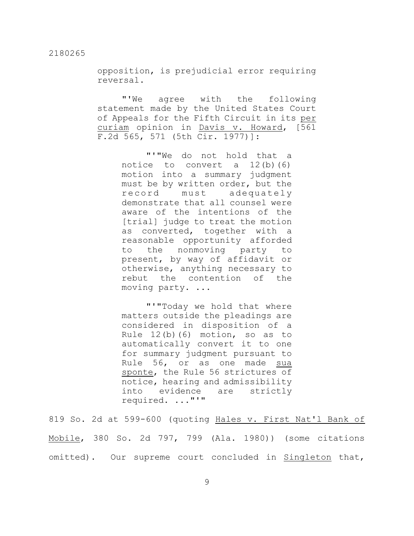opposition, is prejudicial error requiring reversal.

"'We agree with the following statement made by the United States Court of Appeals for the Fifth Circuit in its per curiam opinion in Davis v. Howard, [561 F.2d 565, 571 (5th Cir. 1977)]:

> "'"We do not hold that a notice to convert a 12(b)(6) motion into a summary judgment must be by written order, but the record must adequately demonstrate that all counsel were aware of the intentions of the [trial] judge to treat the motion as converted, together with a reasonable opportunity afforded to the nonmoving party to present, by way of affidavit or otherwise, anything necessary to rebut the contention of the moving party. ...

> "'"Today we hold that where matters outside the pleadings are considered in disposition of a Rule 12(b)(6) motion, so as to automatically convert it to one for summary judgment pursuant to Rule 56, or as one made sua sponte, the Rule 56 strictures of notice, hearing and admissibility into evidence are strictly required. ..."'"

819 So. 2d at 599-600 (quoting Hales v. First Nat'l Bank of Mobile, 380 So. 2d 797, 799 (Ala. 1980)) (some citations omitted). Our supreme court concluded in Singleton that,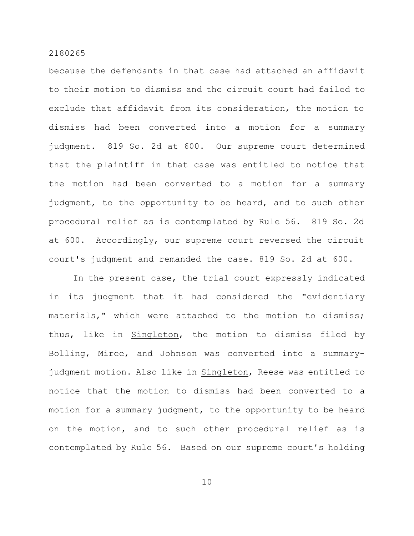because the defendants in that case had attached an affidavit to their motion to dismiss and the circuit court had failed to exclude that affidavit from its consideration, the motion to dismiss had been converted into a motion for a summary judgment. 819 So. 2d at 600. Our supreme court determined that the plaintiff in that case was entitled to notice that the motion had been converted to a motion for a summary judgment, to the opportunity to be heard, and to such other procedural relief as is contemplated by Rule 56. 819 So. 2d at 600. Accordingly, our supreme court reversed the circuit court's judgment and remanded the case. 819 So. 2d at 600.

In the present case, the trial court expressly indicated in its judgment that it had considered the "evidentiary materials," which were attached to the motion to dismiss; thus, like in Singleton, the motion to dismiss filed by Bolling, Miree, and Johnson was converted into a summaryjudgment motion. Also like in Singleton, Reese was entitled to notice that the motion to dismiss had been converted to a motion for a summary judgment, to the opportunity to be heard on the motion, and to such other procedural relief as is contemplated by Rule 56. Based on our supreme court's holding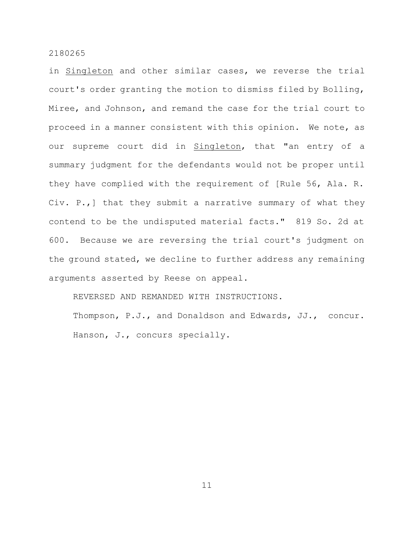in Singleton and other similar cases, we reverse the trial court's order granting the motion to dismiss filed by Bolling, Miree, and Johnson, and remand the case for the trial court to proceed in a manner consistent with this opinion. We note, as our supreme court did in Singleton, that "an entry of a summary judgment for the defendants would not be proper until they have complied with the requirement of [Rule 56, Ala. R. Civ. P.,] that they submit a narrative summary of what they contend to be the undisputed material facts." 819 So. 2d at 600. Because we are reversing the trial court's judgment on the ground stated, we decline to further address any remaining arguments asserted by Reese on appeal.

REVERSED AND REMANDED WITH INSTRUCTIONS.

Thompson, P.J., and Donaldson and Edwards, JJ., concur. Hanson, J., concurs specially.